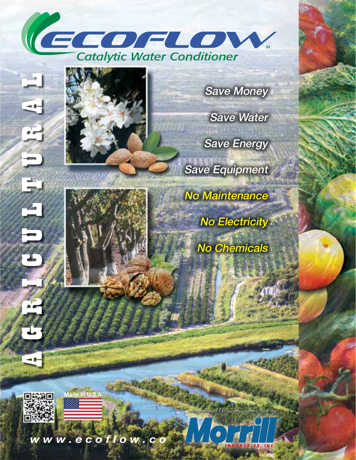



Save Money

Save Water

Save Energy

Save Equipment

No Maintenance **No Electricity** No Chemicals

 $\frac{1}{2}$ 





*w w w . e c o f l o w . c o*

**Made in U.S.A.** 

*Manufactured Exclusively in the U.S.A. by:*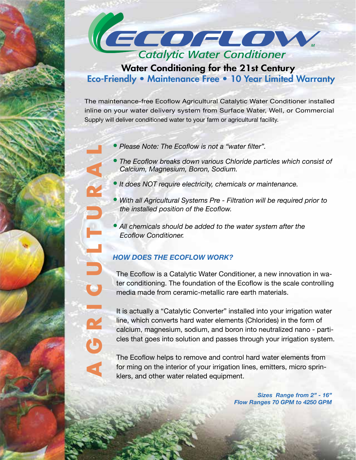

Eco-Friendly • Maintenance Free • 10 Year Limited Warranty

The maintenance-free Ecoflow Agricultural Catalytic Water Conditioner installed inline on your water delivery system from Surface Water, Well, or Commercial Supply will deliver conditioned water to your farm or agricultural facility.

- Please Note: The Ecoflow is not a "water filter".
- The Ecoflow breaks down various Chloride particles which consist of *Calcium, Magnesium, Boron, Sodium.*
- *It does NOT require electricity, chemicals or maintenance.*
- With all Agricultural Systems Pre Filtration will be required prior to *the installed position of the Ecoflow.*
- *All chemicals should be added to the water system after the* **Ecoflow Conditioner.**

## *HOW DOES THE ECOFLOW WORK?*

ter conditioning. The foundation of the Ecoflow is the scale controlling media made from ceramic-metallic rare earth materials.

**AGRICULTURAL THE ECOFICULTURAL THE CONDITENT THE ECOTOM MAGRICULTURE OF CALICULTURAL THE ECOFICITY, chemicals or maintenance.<br>
• With all Agricultural Systems Pre - Filtration will be required prior to the installed posit** It is actually a "Catalytic Converter" installed into your irrigation water line, which converts hard water elements (Chlorides) in the form of calcium, magnesium, sodium, and boron into neutralized nano - particles that goes into solution and passes through your irrigation system.

The Ecoflow helps to remove and control hard water elements from for ming on the interior of your irrigation lines, emitters, micro sprinklers, and other water related equipment.

> *Sizes Range from 2" - 16" Flow Ranges 70 GPM to 4250 GPM*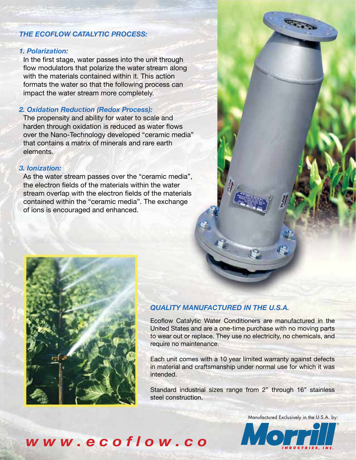#### *THE ECOFLOW CATALYTIC PROCESS:*

#### *1. Polarization:*

In the first stage, water passes into the unit through flow modulators that polarize the water stream along with the materials contained within it. This action formats the water so that the following process can impact the water stream more completely.

#### *2. Oxidation Reduction (Redox Process):*

The propensity and ability for water to scale and harden through oxidation is reduced as water flows over the Nano-Technology developed "ceramic media" that contains a matrix of minerals and rare earth elements.

#### *3. Ionization:*

As the water stream passes over the "ceramic media", the electron fields of the materials within the water stream overlap with the electron fields of the materials contained within the "ceramic media". The exchange of ions is encouraged and enhanced.



#### *QUALITY MANUFACTURED IN THE U.S.A.*

Ecoflow Catalytic Water Conditioners are manufactured in the United States and are a one-time purchase with no moving parts to wear out or replace. They use no electricity, no chemicals, and require no maintenance.

Each unit comes with a 10 year limited warranty against defects in material and craftsmanship under normal use for which it was intended.

Standard industrial sizes range from 2" through 16" stainless steel construction.

Manufactured Exclusively in the U.S.A. by:



# *w w w . e c o f l o w . c o*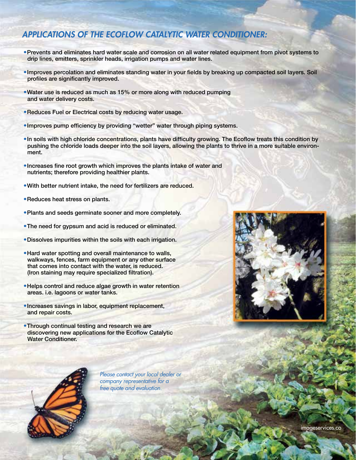## *APPLICATIONS OF THE ECOFLOW CATALYTIC WATER CONDITIONER:*

- •Prevents and eliminates hard water scale and corrosion on all water related equipment from pivot systems to drip lines, emitters, sprinkler heads, irrigation pumps and water lines.
- Improves percolation and eliminates standing water in your fields by breaking up compacted soil layers. Soil profiles are significantly improved.
- •Water use is reduced as much as 15% or more along with reduced pumping and water delivery costs.
- •Reduces Fuel or Electrical costs by reducing water usage.
- Improves pump efficiency by providing "wetter" water through piping systems.
- In soils with high chloride concentrations, plants have difficulty growing. The Ecoflow treats this condition by pushing the chloride loads deeper into the soil layers, allowing the plants to thrive in a more suitable environment.
- Increases fine root growth which improves the plants intake of water and nutrients; therefore providing healthier plants.
- •With better nutrient intake, the need for fertilizers are reduced.
- •Reduces heat stress on plants.
- •Plants and seeds germinate sooner and more completely.
- •The need for gypsum and acid is reduced or eliminated.
- •Dissolves impurities within the soils with each irrigation.
- •Hard water spotting and overall maintenance to walls, walkways, fences, farm equipment or any other surface that comes into contact with the water, is reduced. (Iron staining may require specialized filtration).
- •Helps control and reduce algae growth in water retention areas. i.e. lagoons or water tanks.
- •Increases savings in labor, equipment replacement, and repair costs.
- •Through continual testing and research we are discovering new applications for the Ecoflow Catalytic Water Conditioner.



*Please contact your local dealer or company representative for a free quote and evaluation.*



imageservices.co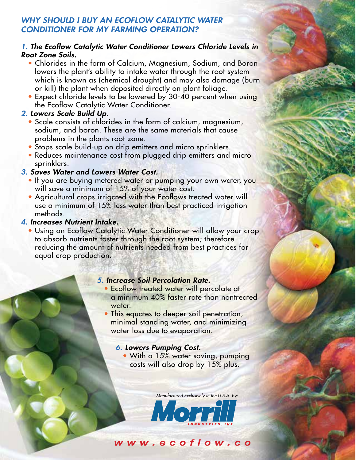#### *WHY SHOULD I BUY AN ECOFLOW CATALYTIC WATER CONDITIONER FOR MY FARMING OPERATION?*

#### **1.** The Ecoflow Catalytic Water Conditioner Lowers Chloride Levels in *Root Zone Soils.*

- Chlorides in the form of Calcium, Magnesium, Sodium, and Boron lowers the plant's ability to intake water through the root system which is known as (chemical drought) and may also damage (burn or kill) the plant when deposited directly on plant foliage.
- Expect chloride levels to be lowered by 30-40 percent when using the Ecoflow Catalytic Water Conditioner.

## *2. Lowers Scale Build Up.*

- Scale consists of chlorides in the form of calcium, magnesium, sodium, and boron. These are the same materials that cause problems in the plants root zone.
- Stops scale build-up on drip emitters and micro sprinklers.
- Reduces maintenance cost from plugged drip emitters and micro sprinklers.

#### *3. Saves Water and Lowers Water Cost.*

- If you are buying metered water or pumping your own water, you will save a minimum of 15% of your water cost.
- Agricultural crops irrigated with the Ecoflows treated water will use a minimum of 15% less water than best practiced irrigation methods.

#### *4. Increases Nutrient Intake.*

• Using an Ecoflow Catalytic Water Conditioner will allow your crop to absorb nutrients faster through the root system; therefore reducing the amount of nutrients needed from best practices for equal crop production.

#### *5. Increase Soil Percolation Rate.*

- Ecoflow treated water will percolate at a minimum 40% faster rate than nontreated water.
- This equates to deeper soil penetration, minimal standing water, and minimizing water loss due to evaporation.

#### *6. Lowers Pumping Cost.*

• With a 15% water saving, pumping costs will also drop by 15% plus.

*Manufactured Exclusively in the U.S.A. by:*



## *w w w . e c o f l o w . c o*